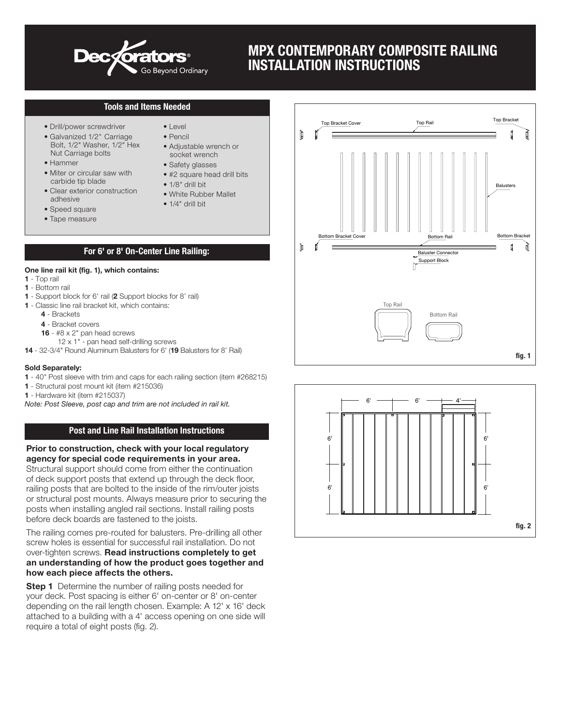

# MPX CONTEMPORARY COMPOSITE RAILING INSTALLATION INSTRUCTIONS

## Tools and Items Needed

- Drill/power screwdriver
- Galvanized 1/2" Carriage Bolt, 1/2" Washer, 1/2" Hex Nut Carriage bolts
- Hammer
- Miter or circular saw with carbide tip blade
- Clear exterior construction adhesive
- Speed square
- Tape measure
- Level • Pencil
- Adjustable wrench or socket wrench
- Safety glasses
- #2 square head drill bits
- 1/8*"* drill bit
- White Rubber Mallet
- $\bullet$  1/4" drill hit

## For 6' or 8' On-Center Line Railing:

#### One line rail kit (fig. 1), which contains:

- 1 Top rail
- 1 Bottom rail
- 1 Support block for 6' rail (2 Support blocks for 8' rail)
- 1 Classic line rail bracket kit, which contains:
	- 4 Brackets
	- 4 Bracket covers
	- **16**  $#8 \times 2"$  pan head screws
		- 12 x 1" pan head self-drilling screws
- 14 32-3/4" Round Aluminum Balusters for 6' (19 Balusters for 8' Rail)

### Sold Separately:

- 1 40*"* Post sleeve with trim and caps for each railing section (item #268215)
- 1 Structural post mount kit (item #215036)
- 1 Hardware kit (item #215037)

*Note: Post Sleeve, post cap and trim are not included in rail kit.*

## Post and Line Rail Installation Instructions

#### Prior to construction, check with your local regulatory agency for special code requirements in your area.

Structural support should come from either the continuation of deck support posts that extend up through the deck floor, railing posts that are bolted to the inside of the rim/outer joists or structural post mounts. Always measure prior to securing the posts when installing angled rail sections. Install railing posts before deck boards are fastened to the joists.

The railing comes pre-routed for balusters. Pre-drilling all other screw holes is essential for successful rail installation. Do not over-tighten screws. Read instructions completely to get an understanding of how the product goes together and how each piece affects the others.

**Step 1** Determine the number of railing posts needed for your deck. Post spacing is either 6' on-center or 8' on-center depending on the rail length chosen. Example: A 12' x 16' deck attached to a building with a 4' access opening on one side will require a total of eight posts (fig. 2).



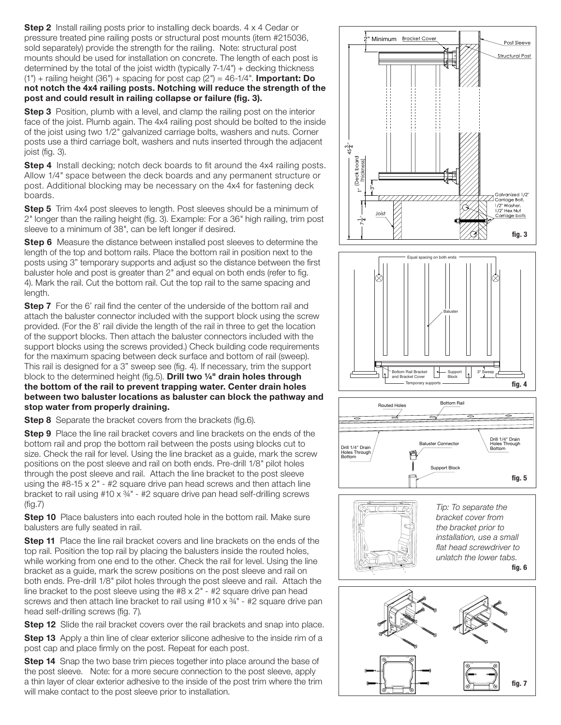**Step 2** Install railing posts prior to installing deck boards. 4 x 4 Cedar or pressure treated pine railing posts or structural post mounts (item #215036, sold separately) provide the strength for the railing. Note: structural post mounts should be used for installation on concrete. The length of each post is determined by the total of the joist width (typically 7-1/4*"*) + decking thickness (1*"*) + railing height (36*"*) + spacing for post cap (2*"*) = 46-1/4*"*. Important: Do not notch the 4x4 railing posts. Notching will reduce the strength of the post and could result in railing collapse or failure (fig. 3).

**Step 3** Position, plumb with a level, and clamp the railing post on the interior face of the joist. Plumb again. The 4x4 railing post should be bolted to the inside of the joist using two 1/2*"* galvanized carriage bolts, washers and nuts. Corner posts use a third carriage bolt, washers and nuts inserted through the adjacent joist (fig. 3).

**Step 4** Install decking; notch deck boards to fit around the 4x4 railing posts. Allow 1/4*"* space between the deck boards and any permanent structure or post. Additional blocking may be necessary on the 4x4 for fastening deck boards.

**Step 5** Trim 4x4 post sleeves to length. Post sleeves should be a minimum of 2*"* longer than the railing height (fig. 3). Example: For a 36*"* high railing, trim post sleeve to a minimum of 38*"*, can be left longer if desired.

**Step 6** Measure the distance between installed post sleeves to determine the length of the top and bottom rails. Place the bottom rail in position next to the posts using 3" temporary supports and adjust so the distance between the first baluster hole and post is greater than 2*"* and equal on both ends (refer to fig. 4). Mark the rail. Cut the bottom rail. Cut the top rail to the same spacing and length.

**Step 7** For the 6' rail find the center of the underside of the bottom rail and attach the baluster connector included with the support block using the screw provided. (For the 8' rail divide the length of the rail in three to get the location of the support blocks. Then attach the baluster connectors included with the support blocks using the screws provided.) Check building code requirements for the maximum spacing between deck surface and bottom of rail (sweep). This rail is designed for a 3" sweep see (fig. 4). If necessary, trim the support block to the determined height (fig.5). Drill two 1/4" drain holes through the bottom of the rail to prevent trapping water. Center drain holes between two baluster locations as baluster can block the pathway and stop water from properly draining.

**Step 8** Separate the bracket covers from the brackets (fig.6).

Step 9 Place the line rail bracket covers and line brackets on the ends of the bottom rail and prop the bottom rail between the posts using blocks cut to size. Check the rail for level. Using the line bracket as a guide, mark the screw positions on the post sleeve and rail on both ends. Pre-drill 1/8*"* pilot holes through the post sleeve and rail. Attach the line bracket to the post sleeve using the #8-15 x 2*"* - #2 square drive pan head screws and then attach line bracket to rail using #10 x ¾*"* - #2 square drive pan head self-drilling screws (fig.7)

**Step 10** Place balusters into each routed hole in the bottom rail. Make sure balusters are fully seated in rail.

**Step 11** Place the line rail bracket covers and line brackets on the ends of the top rail. Position the top rail by placing the balusters inside the routed holes, while working from one end to the other. Check the rail for level. Using the line bracket as a guide, mark the screw positions on the post sleeve and rail on both ends. Pre-drill 1/8*"* pilot holes through the post sleeve and rail. Attach the line bracket to the post sleeve using the #8 x 2*"* - #2 square drive pan head screws and then attach line bracket to rail using #10 x ¾*"* - #2 square drive pan head self-drilling screws (fig. 7)*.*

Step 12 Slide the rail bracket covers over the rail brackets and snap into place.

**Step 13** Apply a thin line of clear exterior silicone adhesive to the inside rim of a post cap and place firmly on the post. Repeat for each post.

**Step 14** Snap the two base trim pieces together into place around the base of the post sleeve. Note: for a more secure connection to the post sleeve, apply a thin layer of clear exterior adhesive to the inside of the post trim where the trim will make contact to the post sleeve prior to installation.



fig. 7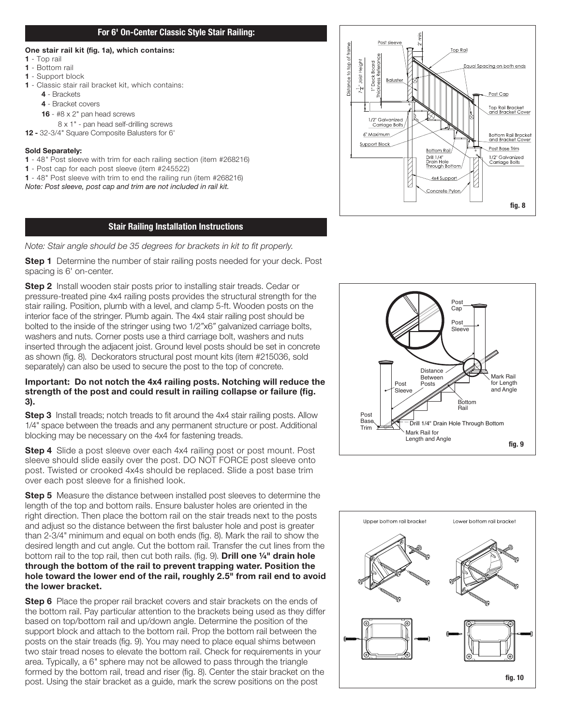## For 6' On-Center Classic Style Stair Railing:

## One stair rail kit (fig. 1a), which contains:

- 1 Top rail
- 1 Bottom rail
- 1 Support block
- 1 Classic stair rail bracket kit, which contains:
	- 4 Brackets
	- 4 Bracket covers
	- **16**  $#8 \times 2"$  pan head screws
	- 8 x 1" pan head self-drilling screws
- 12 32-3/4" Square Composite Balusters for 6'

## Sold Separately:

- 1 48*"* Post sleeve with trim for each railing section (item #268216)
- 1 Post cap for each post sleeve (item #245522)
- 1 48" Post sleeve with trim to end the railing run (item #268216)

*Note: Post sleeve, post cap and trim are not included in rail kit.*

## Stair Railing Installation Instructions

*Note: Stair angle should be 35 degrees for brackets in kit to fit properly.*

**Step 1** Determine the number of stair railing posts needed for your deck. Post spacing is 6' on-center.

Step 2 Install wooden stair posts prior to installing stair treads. Cedar or pressure-treated pine 4x4 railing posts provides the structural strength for the stair railing. Position, plumb with a level, and clamp 5-ft. Wooden posts on the interior face of the stringer. Plumb again. The 4x4 stair railing post should be bolted to the inside of the stringer using two 1/2*"*x6*"* galvanized carriage bolts, washers and nuts. Corner posts use a third carriage bolt, washers and nuts inserted through the adjacent joist. Ground level posts should be set in concrete as shown (fig. 8). Deckorators structural post mount kits (item #215036, sold separately) can also be used to secure the post to the top of concrete.

## Important: Do not notch the 4x4 railing posts. Notching will reduce the strength of the post and could result in railing collapse or failure (fig. 3).

**Step 3** Install treads; notch treads to fit around the 4x4 stair railing posts. Allow 1/4*"* space between the treads and any permanent structure or post. Additional blocking may be necessary on the 4x4 for fastening treads.

**Step 4** Slide a post sleeve over each 4x4 railing post or post mount. Post sleeve should slide easily over the post. DO NOT FORCE post sleeve onto post. Twisted or crooked 4x4s should be replaced. Slide a post base trim over each post sleeve for a finished look.

**Step 5** Measure the distance between installed post sleeves to determine the length of the top and bottom rails. Ensure baluster holes are oriented in the right direction. Then place the bottom rail on the stair treads next to the posts and adjust so the distance between the first baluster hole and post is greater than 2-3/4*"* minimum and equal on both ends (fig. 8). Mark the rail to show the desired length and cut angle. Cut the bottom rail. Transfer the cut lines from the bottom rail to the top rail, then cut both rails. (fig. 9). Drill one 1/4" drain hole through the bottom of the rail to prevent trapping water. Position the hole toward the lower end of the rail, roughly 2.5" from rail end to avoid the lower bracket.

Step 6 Place the proper rail bracket covers and stair brackets on the ends of the bottom rail. Pay particular attention to the brackets being used as they differ based on top/bottom rail and up/down angle. Determine the position of the support block and attach to the bottom rail. Prop the bottom rail between the posts on the stair treads (fig. 9). You may need to place equal shims between two stair tread noses to elevate the bottom rail. Check for requirements in your area. Typically, a 6*"* sphere may not be allowed to pass through the triangle formed by the bottom rail, tread and riser (fig. 8). Center the stair bracket on the post. Using the stair bracket as a guide, mark the screw positions on the post